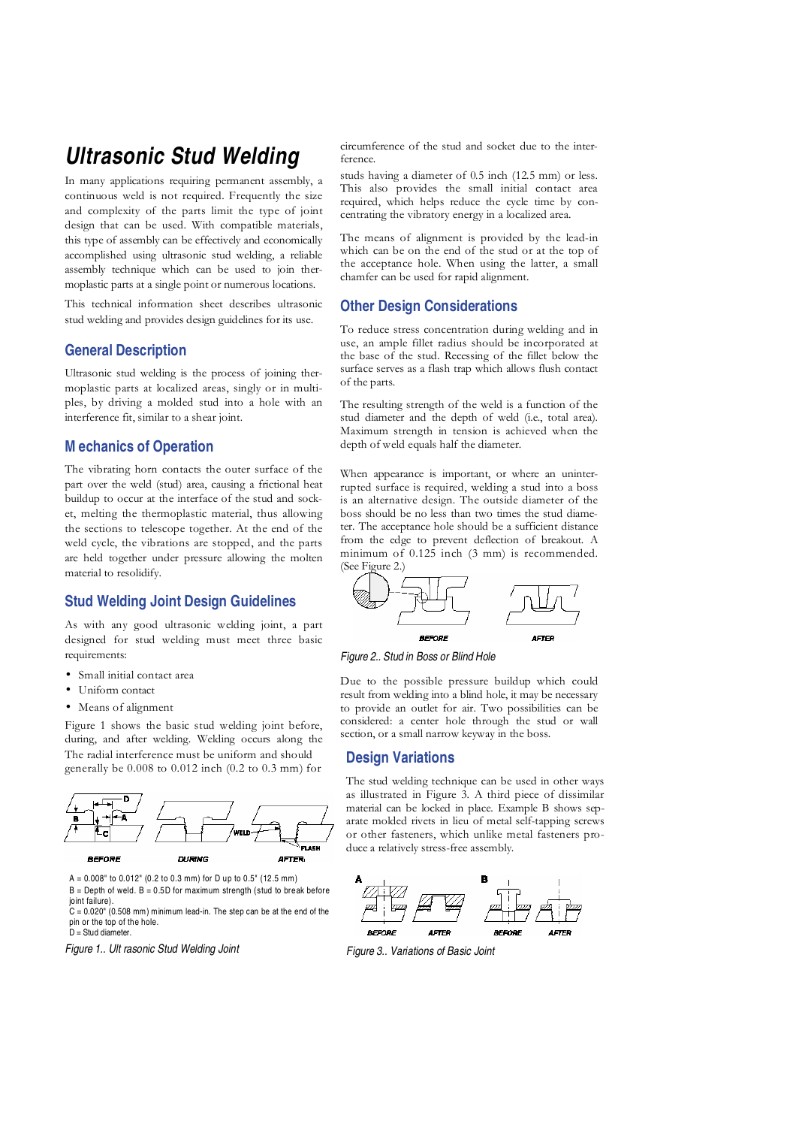# **Ultrasonic Stud Welding**

In many applications requiring permanent assembly, a continuous weld is not required. Frequently the size and complexity of the parts limit the type of joint design that can be used. With compatible materials, this type of assembly can be effectively and economically accomplished using ultrasonic stud welding, a reliable assembly technique which can be used to join thermoplastic parts at a single point or numerous locations.

This technical information sheet describes ultrasonic stud welding and provides design guidelines for its use.

## **General Description**

Ultrasonic stud welding is the process of joining thermoplastic parts at localized areas, singly or in multiples, by driving a molded stud into a hole with an interference fit, similar to a shear joint.

## **M echanics of Operation**

The vibrating horn contacts the outer surface of the part over the weld (stud) area, causing a frictional heat buildup to occur at the interface of the stud and socket, melting the thermoplastic material, thus allowing the sections to telescope together. At the end of the weld cycle, the vibrations are stopped, and the parts are held together under pressure allowing the molten material to resolidify.

## **Stud Welding Joint Design Guidelines**

As with any good ultrasonic welding joint, a part designed for stud welding must meet three basic requirements:

- Small initial contact area
- Uniform contact
- Means of alignment

Figure 1 shows the basic stud welding joint before, during, and after welding. Welding occurs along the The radial interference must be uniform and should generally be 0.008 to 0.012 inch (0.2 to 0.3 mm) for



A = 0.008" to 0.012" (0.2 to 0.3 mm) for D up to 0.5" (12.5 mm)  $B =$  Depth of weld.  $B = 0.5D$  for maximum strength (stud to break before joint failure).

 $C = 0.020$ " (0.508 mm) minimum lead-in. The step can be at the end of the pin or the top of the hole. D = Stud diameter.

Figure 1.. Ult rasonic Stud Welding Joint

circumference of the stud and socket due to the interference.

studs having a diameter of 0.5 inch (12.5 mm) or less. This also provides the small initial contact area required, which helps reduce the cycle time by concentrating the vibratory energy in a localized area.

The means of alignment is provided by the lead-in which can be on the end of the stud or at the top of the acceptance hole. When using the latter, a small chamfer can be used for rapid alignment.

#### **Other Design Considerations**

To reduce stress concentration during welding and in use, an ample fillet radius should be incorporated at the base of the stud. Recessing of the fillet below the surface serves as a flash trap which allows flush contact of the parts.

The resulting strength of the weld is a function of the stud diameter and the depth of weld (i.e., total area). Maximum strength in tension is achieved when the depth of weld equals half the diameter.

When appearance is important, or where an uninterrupted surface is required, welding a stud into a boss is an alternative design. The outside diameter of the boss should be no less than two times the stud diameter. The acceptance hole should be a sufficient distance from the edge to prevent deflection of breakout. A minimum of 0.125 inch (3 mm) is recommended. (See Figure 2.)



Figure 2.. Stud in Boss or Blind Hole

Due to the possible pressure buildup which could result from welding into a blind hole, it may be necessary to provide an outlet for air. Two possibilities can be considered: a center hole through the stud or wall section, or a small narrow keyway in the boss.

#### **Design Variations**

The stud welding technique can be used in other ways as illustrated in Figure 3. A third piece of dissimilar material can be locked in place. Example B shows separate molded rivets in lieu of metal self-tapping screws or other fasteners, which unlike metal fasteners produce a relatively stress-free assembly.



Figure 3.. Variations of Basic Joint